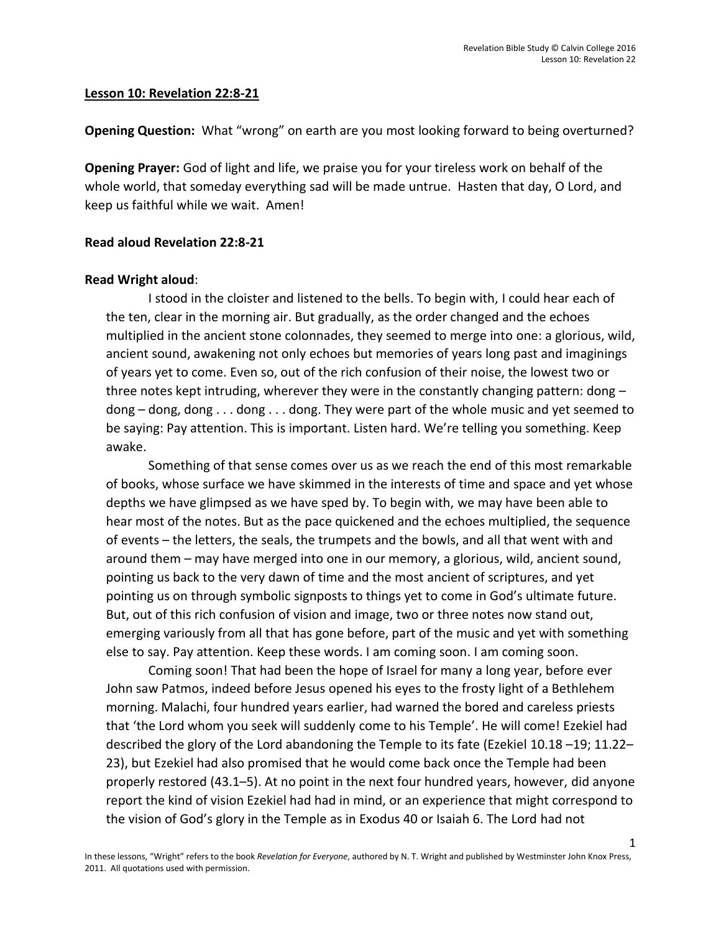## **Lesson 10: Revelation 22:8-21**

**Opening Question:** What "wrong" on earth are you most looking forward to being overturned?

**Opening Prayer:** God of light and life, we praise you for your tireless work on behalf of the whole world, that someday everything sad will be made untrue. Hasten that day, O Lord, and keep us faithful while we wait. Amen!

## **Read aloud Revelation 22:8-21**

## **Read Wright aloud**:

I stood in the cloister and listened to the bells. To begin with, I could hear each of the ten, clear in the morning air. But gradually, as the order changed and the echoes multiplied in the ancient stone colonnades, they seemed to merge into one: a glorious, wild, ancient sound, awakening not only echoes but memories of years long past and imaginings of years yet to come. Even so, out of the rich confusion of their noise, the lowest two or three notes kept intruding, wherever they were in the constantly changing pattern: dong – dong – dong, dong . . . dong . . . dong. They were part of the whole music and yet seemed to be saying: Pay attention. This is important. Listen hard. We're telling you something. Keep awake.

Something of that sense comes over us as we reach the end of this most remarkable of books, whose surface we have skimmed in the interests of time and space and yet whose depths we have glimpsed as we have sped by. To begin with, we may have been able to hear most of the notes. But as the pace quickened and the echoes multiplied, the sequence of events – the letters, the seals, the trumpets and the bowls, and all that went with and around them – may have merged into one in our memory, a glorious, wild, ancient sound, pointing us back to the very dawn of time and the most ancient of scriptures, and yet pointing us on through symbolic signposts to things yet to come in God's ultimate future. But, out of this rich confusion of vision and image, two or three notes now stand out, emerging variously from all that has gone before, part of the music and yet with something else to say. Pay attention. Keep these words. I am coming soon. I am coming soon.

Coming soon! That had been the hope of Israel for many a long year, before ever John saw Patmos, indeed before Jesus opened his eyes to the frosty light of a Bethlehem morning. Malachi, four hundred years earlier, had warned the bored and careless priests that 'the Lord whom you seek will suddenly come to his Temple'. He will come! Ezekiel had described the glory of the Lord abandoning the Temple to its fate (Ezekiel 10.18 –19; 11.22– 23), but Ezekiel had also promised that he would come back once the Temple had been properly restored (43.1–5). At no point in the next four hundred years, however, did anyone report the kind of vision Ezekiel had had in mind, or an experience that might correspond to the vision of God's glory in the Temple as in Exodus 40 or Isaiah 6. The Lord had not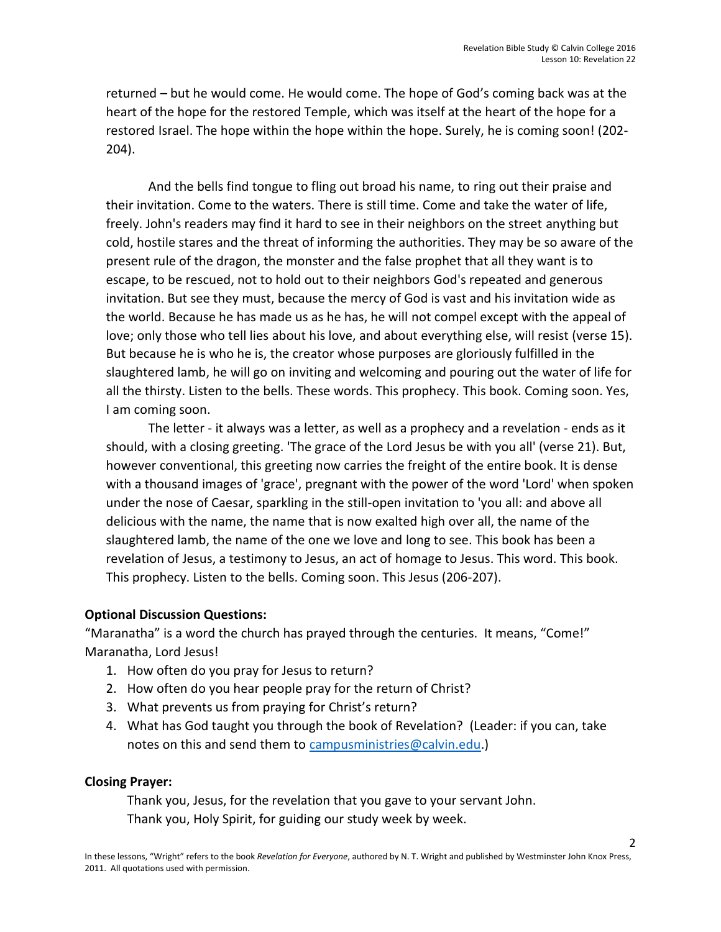returned – but he would come. He would come. The hope of God's coming back was at the heart of the hope for the restored Temple, which was itself at the heart of the hope for a restored Israel. The hope within the hope within the hope. Surely, he is coming soon! (202- 204).

And the bells find tongue to fling out broad his name, to ring out their praise and their invitation. Come to the waters. There is still time. Come and take the water of life, freely. John's readers may find it hard to see in their neighbors on the street anything but cold, hostile stares and the threat of informing the authorities. They may be so aware of the present rule of the dragon, the monster and the false prophet that all they want is to escape, to be rescued, not to hold out to their neighbors God's repeated and generous invitation. But see they must, because the mercy of God is vast and his invitation wide as the world. Because he has made us as he has, he will not compel except with the appeal of love; only those who tell lies about his love, and about everything else, will resist (verse 15). But because he is who he is, the creator whose purposes are gloriously fulfilled in the slaughtered lamb, he will go on inviting and welcoming and pouring out the water of life for all the thirsty. Listen to the bells. These words. This prophecy. This book. Coming soon. Yes, I am coming soon.

The letter - it always was a letter, as well as a prophecy and a revelation - ends as it should, with a closing greeting. 'The grace of the Lord Jesus be with you all' (verse 21). But, however conventional, this greeting now carries the freight of the entire book. It is dense with a thousand images of 'grace', pregnant with the power of the word 'Lord' when spoken under the nose of Caesar, sparkling in the still-open invitation to 'you all: and above all delicious with the name, the name that is now exalted high over all, the name of the slaughtered lamb, the name of the one we love and long to see. This book has been a revelation of Jesus, a testimony to Jesus, an act of homage to Jesus. This word. This book. This prophecy. Listen to the bells. Coming soon. This Jesus (206-207).

# **Optional Discussion Questions:**

"Maranatha" is a word the church has prayed through the centuries. It means, "Come!" Maranatha, Lord Jesus!

- 1. How often do you pray for Jesus to return?
- 2. How often do you hear people pray for the return of Christ?
- 3. What prevents us from praying for Christ's return?
- 4. What has God taught you through the book of Revelation? (Leader: if you can, take notes on this and send them to [campusministries@calvin.edu.](mailto:campusministries@calvin.edu))

# **Closing Prayer:**

Thank you, Jesus, for the revelation that you gave to your servant John. Thank you, Holy Spirit, for guiding our study week by week.